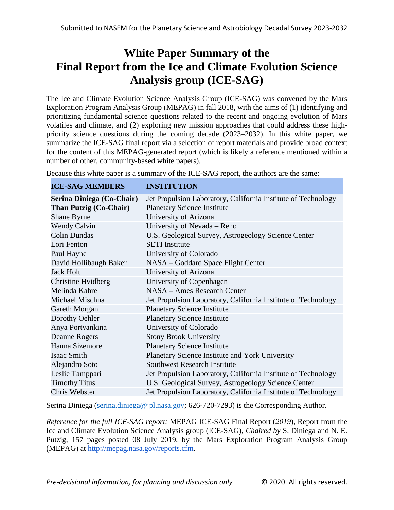# **White Paper Summary of the Final Report from the Ice and Climate Evolution Science Analysis group (ICE-SAG)**

The Ice and Climate Evolution Science Analysis Group (ICE-SAG) was convened by the Mars Exploration Program Analysis Group (MEPAG) in fall 2018, with the aims of (1) identifying and prioritizing fundamental science questions related to the recent and ongoing evolution of Mars volatiles and climate, and (2) exploring new mission approaches that could address these highpriority science questions during the coming decade (2023–2032). In this white paper, we summarize the ICE-SAG final report via a selection of report materials and provide broad context for the content of this MEPAG-generated report (which is likely a reference mentioned within a number of other, community-based white papers).

Because this white paper is a summary of the ICE-SAG report, the authors are the same:

**ICE-SAG MEMBERS INSTITUTION**

| ICE-SAG MEMBERS               | INSTITUTION                                                   |
|-------------------------------|---------------------------------------------------------------|
| Serina Diniega (Co-Chair)     | Jet Propulsion Laboratory, California Institute of Technology |
| <b>Than Putzig (Co-Chair)</b> | <b>Planetary Science Institute</b>                            |
| Shane Byrne                   | University of Arizona                                         |
| <b>Wendy Calvin</b>           | University of Nevada – Reno                                   |
| <b>Colin Dundas</b>           | U.S. Geological Survey, Astrogeology Science Center           |
| Lori Fenton                   | <b>SETI</b> Institute                                         |
| Paul Hayne                    | University of Colorado                                        |
| David Hollibaugh Baker        | NASA – Goddard Space Flight Center                            |
| <b>Jack Holt</b>              | University of Arizona                                         |
| Christine Hvidberg            | University of Copenhagen                                      |
| Melinda Kahre                 | NASA – Ames Research Center                                   |
| Michael Mischna               | Jet Propulsion Laboratory, California Institute of Technology |
| Gareth Morgan                 | <b>Planetary Science Institute</b>                            |
| Dorothy Oehler                | <b>Planetary Science Institute</b>                            |
| Anya Portyankina              | University of Colorado                                        |
| <b>Deanne Rogers</b>          | <b>Stony Brook University</b>                                 |
| Hanna Sizemore                | <b>Planetary Science Institute</b>                            |
| Isaac Smith                   | Planetary Science Institute and York University               |
| Alejandro Soto                | <b>Southwest Research Institute</b>                           |
| Leslie Tamppari               | Jet Propulsion Laboratory, California Institute of Technology |
| <b>Timothy Titus</b>          | U.S. Geological Survey, Astrogeology Science Center           |
| Chris Webster                 | Jet Propulsion Laboratory, California Institute of Technology |

Serina Diniega [\(serina.diniega@jpl.nasa.gov;](mailto:serina.diniega@jpl.nasa.gov) 626-720-7293) is the Corresponding Author.

*Reference for the full ICE-SAG report:* MEPAG ICE-SAG Final Report (*2019*), Report from the Ice and Climate Evolution Science Analysis group (ICE-SAG), *Chaired by* S. Diniega and N. E. Putzig, 157 pages posted 08 July 2019, by the Mars Exploration Program Analysis Group (MEPAG) a[t](http://mepag.nasa.gov/reports.cfm) [http://mepag.nasa.gov/reports.cfm.](http://mepag.nasa.gov/reports.cfm)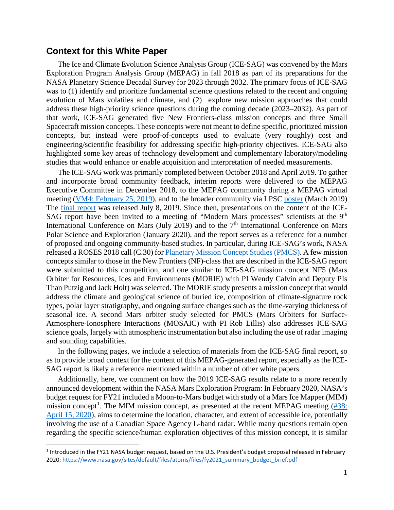## **Context for this White Paper**

The Ice and Climate Evolution Science Analysis Group (ICE-SAG) was convened by the Mars Exploration Program Analysis Group (MEPAG) in fall 2018 as part of its preparations for the NASA Planetary Science Decadal Survey for 2023 through 2032. The primary focus of ICE-SAG was to (1) identify and prioritize fundamental science questions related to the recent and ongoing evolution of Mars volatiles and climate, and (2) explore new mission approaches that could address these high-priority science questions during the coming decade (2023–2032). As part of that work, ICE-SAG generated five New Frontiers-class mission concepts and three Small Spacecraft mission concepts. These concepts were not meant to define specific, prioritized mission concepts, but instead were proof-of-concepts used to evaluate (very roughly) cost and engineering/scientific feasibility for addressing specific high-priority objectives. ICE-SAG also highlighted some key areas of technology development and complementary laboratory/modeling studies that would enhance or enable acquisition and interpretation of needed measurements.

The ICE-SAG work was primarily completed between October 2018 and April 2019. To gather and incorporate broad community feedback, interim reports were delivered to the MEPAG Executive Committee in December 2018, to the MEPAG community during a MEPAG virtual meeting [\(VM4: February 25, 2019\)](https://mepag.jpl.nasa.gov/meeting/2019-02/ICE-SAG_Report_MEPAG_VM4_URS.pdf), and to the broader community via LPSC [poster](https://www.hou.usra.edu/meetings/lpsc2019/eposter/2035.pdf) (March 2019) The [final report](https://mepag.jpl.nasa.gov/reports.cfm?expand=topical) was released July 8, 2019. Since then, presentations on the content of the ICE-SAG report have been invited to a meeting of "Modern Mars processes" scientists at the 9<sup>th</sup> International Conference on Mars (July 2019) and to the  $7<sup>th</sup>$  International Conference on Mars Polar Science and Exploration (January 2020), and the report serves as a reference for a number of proposed and ongoing community-based studies. In particular, during ICE-SAG's work, NASA released a ROSES 2018 call (C.30) for [Planetary Mission Concept Studies](https://nspires.nasaprs.com/external/solicitations/summary.do?method=init&solId=%7b5F9A00FC-0359-E588-D345-287621C7D607%7d&path=closedPast) (PMCS). A few mission concepts similar to those in the New Frontiers (NF)-class that are described in the ICE-SAG report were submitted to this competition, and one similar to ICE-SAG mission concept NF5 (Mars Orbiter for Resources, Ices and Environments (MORIE) with PI Wendy Calvin and Deputy PIs Than Putzig and Jack Holt) was selected. The MORIE study presents a mission concept that would address the climate and geological science of buried ice, composition of climate-signature rock types, polar layer stratigraphy, and ongoing surface changes such as the time-varying thickness of seasonal ice. A second Mars orbiter study selected for PMCS (Mars Orbiters for Surface-Atmosphere-Ionosphere Interactions (MOSAIC) with PI Rob Lillis) also addresses ICE-SAG science goals, largely with atmospheric instrumentation but also including the use of radar imaging and sounding capabilities.

In the following pages, we include a selection of materials from the ICE-SAG final report, so as to provide broad context for the content of this MEPAG-generated report, especially as the ICE-SAG report is likely a reference mentioned within a number of other white papers.

Additionally, here, we comment on how the 2019 ICE-SAG results relate to a more recently announced development within the NASA Mars Exploration Program: In February 2020, NASA's budget request for FY21 included a Moon-to-Mars budget with study of a Mars Ice Mapper (MIM) mission concept<sup>[1](#page-1-0)</sup>. The MIM mission concept, as presented at the recent MEPAG meeting  $(\#38)$ : [April 15, 2020\)](https://mepag.jpl.nasa.gov/meeting/2020-04/Day1/16_WATZIN-HALTIGIN-Ice%20Mapper_MEPAG_%20April%20152020_Final%20v2_post.pdf), aims to determine the location, character, and extent of accessible ice, potentially involving the use of a Canadian Space Agency L-band radar. While many questions remain open regarding the specific science/human exploration objectives of this mission concept, it is similar

<span id="page-1-0"></span> <sup>1</sup> Introduced in the FY21 NASA budget request, based on the U.S. President's budget proposal released in February 2020: [https://www.nasa.gov/sites/default/files/atoms/files/fy2021\\_summary\\_budget\\_brief.pdf](https://www.nasa.gov/sites/default/files/atoms/files/fy2021_summary_budget_brief.pdf)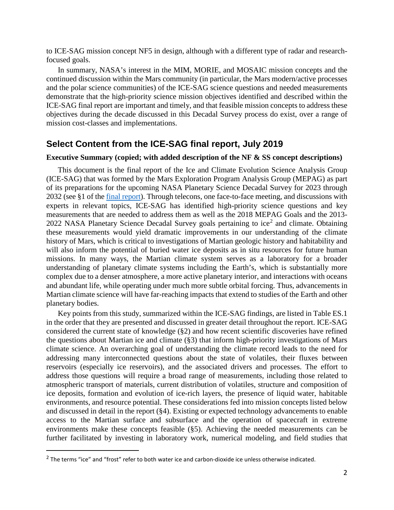to ICE-SAG mission concept NF5 in design, although with a different type of radar and researchfocused goals.

In summary, NASA's interest in the MIM, MORIE, and MOSAIC mission concepts and the continued discussion within the Mars community (in particular, the Mars modern/active processes and the polar science communities) of the ICE-SAG science questions and needed measurements demonstrate that the high-priority science mission objectives identified and described within the ICE-SAG final report are important and timely, and that feasible mission concepts to address these objectives during the decade discussed in this Decadal Survey process do exist, over a range of mission cost-classes and implementations.

### **Select Content from the ICE-SAG final report, July 2019**

#### **Executive Summary (copied; with added description of the NF & SS concept descriptions)**

This document is the final report of the Ice and Climate Evolution Science Analysis Group (ICE-SAG) that was formed by the Mars Exploration Program Analysis Group (MEPAG) as part of its preparations for the upcoming NASA Planetary Science Decadal Survey for 2023 through 2032 (see §1 of the [final report\)](https://mepag.jpl.nasa.gov/reports/ICESAG_Report_FINAL.pdf). Through telecons, one face-to-face meeting, and discussions with experts in relevant topics, ICE-SAG has identified high-priority science questions and key measurements that are needed to address them as well as the 2018 MEPAG Goals and the 2013- [2](#page-2-0)022 NASA Planetary Science Decadal Survey goals pertaining to ice<sup>2</sup> and climate. Obtaining these measurements would yield dramatic improvements in our understanding of the climate history of Mars, which is critical to investigations of Martian geologic history and habitability and will also inform the potential of buried water ice deposits as in situ resources for future human missions. In many ways, the Martian climate system serves as a laboratory for a broader understanding of planetary climate systems including the Earth's, which is substantially more complex due to a denser atmosphere, a more active planetary interior, and interactions with oceans and abundant life, while operating under much more subtle orbital forcing. Thus, advancements in Martian climate science will have far-reaching impacts that extend to studies of the Earth and other planetary bodies.

Key points from this study, summarized within the ICE-SAG findings, are listed in Table ES.1 in the order that they are presented and discussed in greater detail throughout the report. ICE-SAG considered the current state of knowledge (§2) and how recent scientific discoveries have refined the questions about Martian ice and climate (§3) that inform high-priority investigations of Mars climate science. An overarching goal of understanding the climate record leads to the need for addressing many interconnected questions about the state of volatiles, their fluxes between reservoirs (especially ice reservoirs), and the associated drivers and processes. The effort to address those questions will require a broad range of measurements, including those related to atmospheric transport of materials, current distribution of volatiles, structure and composition of ice deposits, formation and evolution of ice-rich layers, the presence of liquid water, habitable environments, and resource potential. These considerations fed into mission concepts listed below and discussed in detail in the report (§4). Existing or expected technology advancements to enable access to the Martian surface and subsurface and the operation of spacecraft in extreme environments make these concepts feasible (§5). Achieving the needed measurements can be further facilitated by investing in laboratory work, numerical modeling, and field studies that

<span id="page-2-0"></span><sup>&</sup>lt;sup>2</sup> The terms "ice" and "frost" refer to both water ice and carbon-dioxide ice unless otherwise indicated.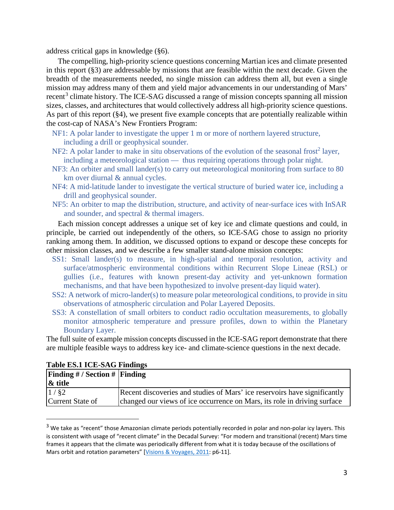address critical gaps in knowledge (§6).

The compelling, high-priority science questions concerning Martian ices and climate presented in this report (§3) are addressable by missions that are feasible within the next decade. Given the breadth of the measurements needed, no single mission can address them all, but even a single mission may address many of them and yield major advancements in our understanding of Mars' recent<sup>[3](#page-3-0)</sup> climate history. The ICE-SAG discussed a range of mission concepts spanning all mission sizes, classes, and architectures that would collectively address all high-priority science questions. As part of this report (§4), we present five example concepts that are potentially realizable within the cost-cap of NASA's New Frontiers Program:

- NF1: A polar lander to investigate the upper 1 m or more of northern layered structure, including a drill or geophysical sounder.
- NF2: A polar lander to make in situ observations of the evolution of the seasonal frost<sup>2</sup> layer, including a meteorological station — thus requiring operations through polar night.
- NF3: An orbiter and small lander(s) to carry out meteorological monitoring from surface to 80 km over diurnal & annual cycles.
- NF4: A mid-latitude lander to investigate the vertical structure of buried water ice, including a drill and geophysical sounder.
- NF5: An orbiter to map the distribution, structure, and activity of near-surface ices with InSAR and sounder, and spectral & thermal imagers.

Each mission concept addresses a unique set of key ice and climate questions and could, in principle, be carried out independently of the others, so ICE-SAG chose to assign no priority ranking among them. In addition, we discussed options to expand or descope these concepts for other mission classes, and we describe a few smaller stand-alone mission concepts:

- SS1: Small lander(s) to measure, in high-spatial and temporal resolution, activity and surface/atmospheric environmental conditions within Recurrent Slope Lineae (RSL) or gullies (i.e., features with known present-day activity and yet-unknown formation mechanisms, and that have been hypothesized to involve present-day liquid water).
- SS2: A network of micro-lander(s) to measure polar meteorological conditions, to provide in situ observations of atmospheric circulation and Polar Layered Deposits.
- SS3: A constellation of small orbiters to conduct radio occultation measurements, to globally monitor atmospheric temperature and pressure profiles, down to within the Planetary Boundary Layer.

The full suite of example mission concepts discussed in the ICE-SAG report demonstrate that there are multiple feasible ways to address key ice- and climate-science questions in the next decade.

| Finding $\#$ / Section $\#$ Finding |                                                                           |
|-------------------------------------|---------------------------------------------------------------------------|
| & title                             |                                                                           |
| 1/82                                | Recent discoveries and studies of Mars' ice reservoirs have significantly |
| Current State of                    | changed our views of ice occurrence on Mars, its role in driving surface  |

#### **Table ES.1 ICE-SAG Findings**

<span id="page-3-0"></span><sup>&</sup>lt;sup>3</sup> We take as "recent" those Amazonian climate periods potentially recorded in polar and non-polar icy layers. This is consistent with usage of "recent climate" in the Decadal Survey: "For modern and transitional (recent) Mars time frames it appears that the climate was periodically different from what it is today because of the oscillations of Mars orbit and rotation parameters" [Visions & [Voyages, 2011:](https://www.nap.edu/catalog/13117/vision-and-voyages-for-planetary-science-in-the-decade-2013-2022) p6-11].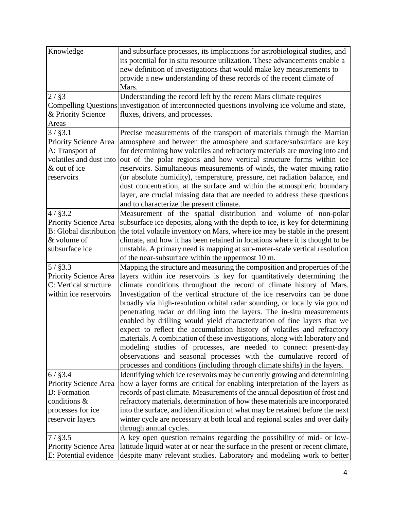| Knowledge               | and subsurface processes, its implications for astrobiological studies, and                                                                                                                                                                                                                                                                                                                                                                                                                                                                                                                                                                                                                  |
|-------------------------|----------------------------------------------------------------------------------------------------------------------------------------------------------------------------------------------------------------------------------------------------------------------------------------------------------------------------------------------------------------------------------------------------------------------------------------------------------------------------------------------------------------------------------------------------------------------------------------------------------------------------------------------------------------------------------------------|
|                         | its potential for in situ resource utilization. These advancements enable a                                                                                                                                                                                                                                                                                                                                                                                                                                                                                                                                                                                                                  |
|                         | new definition of investigations that would make key measurements to                                                                                                                                                                                                                                                                                                                                                                                                                                                                                                                                                                                                                         |
|                         | provide a new understanding of these records of the recent climate of                                                                                                                                                                                                                                                                                                                                                                                                                                                                                                                                                                                                                        |
|                         | Mars.                                                                                                                                                                                                                                                                                                                                                                                                                                                                                                                                                                                                                                                                                        |
| $2/$ §3                 | Understanding the record left by the recent Mars climate requires                                                                                                                                                                                                                                                                                                                                                                                                                                                                                                                                                                                                                            |
|                         | Compelling Questions investigation of interconnected questions involving ice volume and state,                                                                                                                                                                                                                                                                                                                                                                                                                                                                                                                                                                                               |
| & Priority Science      | fluxes, drivers, and processes.                                                                                                                                                                                                                                                                                                                                                                                                                                                                                                                                                                                                                                                              |
| Areas                   |                                                                                                                                                                                                                                                                                                                                                                                                                                                                                                                                                                                                                                                                                              |
| 3 / \$3.1               | Precise measurements of the transport of materials through the Martian                                                                                                                                                                                                                                                                                                                                                                                                                                                                                                                                                                                                                       |
| Priority Science Area   | atmosphere and between the atmosphere and surface/subsurface are key                                                                                                                                                                                                                                                                                                                                                                                                                                                                                                                                                                                                                         |
| A: Transport of         | for determining how volatiles and refractory materials are moving into and                                                                                                                                                                                                                                                                                                                                                                                                                                                                                                                                                                                                                   |
| volatiles and dust into | out of the polar regions and how vertical structure forms within ice                                                                                                                                                                                                                                                                                                                                                                                                                                                                                                                                                                                                                         |
| & out of ice            | reservoirs. Simultaneous measurements of winds, the water mixing ratio                                                                                                                                                                                                                                                                                                                                                                                                                                                                                                                                                                                                                       |
| reservoirs              | (or absolute humidity), temperature, pressure, net radiation balance, and                                                                                                                                                                                                                                                                                                                                                                                                                                                                                                                                                                                                                    |
|                         | dust concentration, at the surface and within the atmospheric boundary                                                                                                                                                                                                                                                                                                                                                                                                                                                                                                                                                                                                                       |
|                         | layer, are crucial missing data that are needed to address these questions                                                                                                                                                                                                                                                                                                                                                                                                                                                                                                                                                                                                                   |
|                         | and to characterize the present climate.                                                                                                                                                                                                                                                                                                                                                                                                                                                                                                                                                                                                                                                     |
| $4/$ §3.2               | Measurement of the spatial distribution and volume of non-polar                                                                                                                                                                                                                                                                                                                                                                                                                                                                                                                                                                                                                              |
| Priority Science Area   | subsurface ice deposits, along with the depth to ice, is key for determining                                                                                                                                                                                                                                                                                                                                                                                                                                                                                                                                                                                                                 |
|                         | B: Global distribution the total volatile inventory on Mars, where ice may be stable in the present                                                                                                                                                                                                                                                                                                                                                                                                                                                                                                                                                                                          |
| & volume of             | climate, and how it has been retained in locations where it is thought to be                                                                                                                                                                                                                                                                                                                                                                                                                                                                                                                                                                                                                 |
| subsurface ice          | unstable. A primary need is mapping at sub-meter-scale vertical resolution                                                                                                                                                                                                                                                                                                                                                                                                                                                                                                                                                                                                                   |
|                         | of the near-subsurface within the uppermost 10 m.                                                                                                                                                                                                                                                                                                                                                                                                                                                                                                                                                                                                                                            |
| $5/$ §3.3               | Mapping the structure and measuring the composition and properties of the                                                                                                                                                                                                                                                                                                                                                                                                                                                                                                                                                                                                                    |
| Priority Science Area   | layers within ice reservoirs is key for quantitatively determining the                                                                                                                                                                                                                                                                                                                                                                                                                                                                                                                                                                                                                       |
| C: Vertical structure   | climate conditions throughout the record of climate history of Mars.                                                                                                                                                                                                                                                                                                                                                                                                                                                                                                                                                                                                                         |
| within ice reservoirs   | Investigation of the vertical structure of the ice reservoirs can be done                                                                                                                                                                                                                                                                                                                                                                                                                                                                                                                                                                                                                    |
|                         |                                                                                                                                                                                                                                                                                                                                                                                                                                                                                                                                                                                                                                                                                              |
|                         |                                                                                                                                                                                                                                                                                                                                                                                                                                                                                                                                                                                                                                                                                              |
|                         |                                                                                                                                                                                                                                                                                                                                                                                                                                                                                                                                                                                                                                                                                              |
|                         |                                                                                                                                                                                                                                                                                                                                                                                                                                                                                                                                                                                                                                                                                              |
|                         |                                                                                                                                                                                                                                                                                                                                                                                                                                                                                                                                                                                                                                                                                              |
|                         |                                                                                                                                                                                                                                                                                                                                                                                                                                                                                                                                                                                                                                                                                              |
|                         |                                                                                                                                                                                                                                                                                                                                                                                                                                                                                                                                                                                                                                                                                              |
|                         |                                                                                                                                                                                                                                                                                                                                                                                                                                                                                                                                                                                                                                                                                              |
|                         |                                                                                                                                                                                                                                                                                                                                                                                                                                                                                                                                                                                                                                                                                              |
|                         |                                                                                                                                                                                                                                                                                                                                                                                                                                                                                                                                                                                                                                                                                              |
| D: Formation            |                                                                                                                                                                                                                                                                                                                                                                                                                                                                                                                                                                                                                                                                                              |
| conditions &            |                                                                                                                                                                                                                                                                                                                                                                                                                                                                                                                                                                                                                                                                                              |
| processes for ice       | into the surface, and identification of what may be retained before the next                                                                                                                                                                                                                                                                                                                                                                                                                                                                                                                                                                                                                 |
| reservoir layers        | winter cycle are necessary at both local and regional scales and over daily                                                                                                                                                                                                                                                                                                                                                                                                                                                                                                                                                                                                                  |
|                         | through annual cycles.                                                                                                                                                                                                                                                                                                                                                                                                                                                                                                                                                                                                                                                                       |
| $7/$ §3.5               | A key open question remains regarding the possibility of mid- or low-                                                                                                                                                                                                                                                                                                                                                                                                                                                                                                                                                                                                                        |
| Priority Science Area   | latitude liquid water at or near the surface in the present or recent climate,                                                                                                                                                                                                                                                                                                                                                                                                                                                                                                                                                                                                               |
|                         |                                                                                                                                                                                                                                                                                                                                                                                                                                                                                                                                                                                                                                                                                              |
| $6/$ §3.4               | broadly via high-resolution orbital radar sounding, or locally via ground<br>penetrating radar or drilling into the layers. The in-situ measurements<br>enabled by drilling would yield characterization of fine layers that we<br>expect to reflect the accumulation history of volatiles and refractory<br>materials. A combination of these investigations, along with laboratory and<br>modeling studies of processes, are needed to connect present-day<br>observations and seasonal processes with the cumulative record of<br>processes and conditions (including through climate shifts) in the layers.<br>Identifying which ice reservoirs may be currently growing and determining |
|                         |                                                                                                                                                                                                                                                                                                                                                                                                                                                                                                                                                                                                                                                                                              |
| Priority Science Area   | how a layer forms are critical for enabling interpretation of the layers as                                                                                                                                                                                                                                                                                                                                                                                                                                                                                                                                                                                                                  |
|                         |                                                                                                                                                                                                                                                                                                                                                                                                                                                                                                                                                                                                                                                                                              |
|                         | records of past climate. Measurements of the annual deposition of frost and                                                                                                                                                                                                                                                                                                                                                                                                                                                                                                                                                                                                                  |
|                         | refractory materials, determination of how these materials are incorporated                                                                                                                                                                                                                                                                                                                                                                                                                                                                                                                                                                                                                  |
|                         |                                                                                                                                                                                                                                                                                                                                                                                                                                                                                                                                                                                                                                                                                              |
|                         |                                                                                                                                                                                                                                                                                                                                                                                                                                                                                                                                                                                                                                                                                              |
|                         |                                                                                                                                                                                                                                                                                                                                                                                                                                                                                                                                                                                                                                                                                              |
|                         |                                                                                                                                                                                                                                                                                                                                                                                                                                                                                                                                                                                                                                                                                              |
|                         |                                                                                                                                                                                                                                                                                                                                                                                                                                                                                                                                                                                                                                                                                              |
| E: Potential evidence   | despite many relevant studies. Laboratory and modeling work to better                                                                                                                                                                                                                                                                                                                                                                                                                                                                                                                                                                                                                        |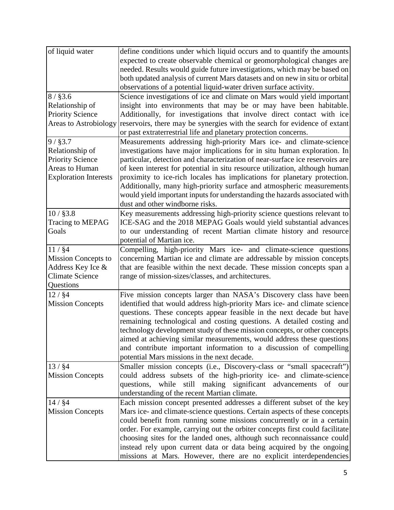| of liquid water              | define conditions under which liquid occurs and to quantify the amounts       |
|------------------------------|-------------------------------------------------------------------------------|
|                              | expected to create observable chemical or geomorphological changes are        |
|                              | needed. Results would guide future investigations, which may be based on      |
|                              | both updated analysis of current Mars datasets and on new in situ or orbital  |
|                              | observations of a potential liquid-water driven surface activity.             |
| $8 /$ \$3.6                  | Science investigations of ice and climate on Mars would yield important       |
| Relationship of              | insight into environments that may be or may have been habitable.             |
| <b>Priority Science</b>      | Additionally, for investigations that involve direct contact with ice         |
| <b>Areas to Astrobiology</b> | reservoirs, there may be synergies with the search for evidence of extant     |
|                              | or past extraterrestrial life and planetary protection concerns.              |
| 9 / §3.7                     | Measurements addressing high-priority Mars ice- and climate-science           |
| Relationship of              | investigations have major implications for in situ human exploration. In      |
| <b>Priority Science</b>      | particular, detection and characterization of near-surface ice reservoirs are |
| Areas to Human               | of keen interest for potential in situ resource utilization, although human   |
| <b>Exploration Interests</b> | proximity to ice-rich locales has implications for planetary protection.      |
|                              | Additionally, many high-priority surface and atmospheric measurements         |
|                              | would yield important inputs for understanding the hazards associated with    |
|                              | dust and other windborne risks.                                               |
| $10/$ §3.8                   | Key measurements addressing high-priority science questions relevant to       |
| Tracing to MEPAG             | ICE-SAG and the 2018 MEPAG Goals would yield substantial advances             |
| Goals                        | to our understanding of recent Martian climate history and resource           |
|                              | potential of Martian ice.                                                     |
| 11 / \$4                     | Compelling, high-priority Mars ice- and climate-science questions             |
| <b>Mission Concepts to</b>   | concerning Martian ice and climate are addressable by mission concepts        |
| Address Key Ice &            | that are feasible within the next decade. These mission concepts span a       |
| <b>Climate Science</b>       | range of mission-sizes/classes, and architectures.                            |
| Questions                    |                                                                               |
| 12 / \$4                     | Five mission concepts larger than NASA's Discovery class have been            |
| <b>Mission Concepts</b>      | identified that would address high-priority Mars ice- and climate science     |
|                              | questions. These concepts appear feasible in the next decade but have         |
|                              | remaining technological and costing questions. A detailed costing and         |
|                              | technology development study of these mission concepts, or other concepts     |
|                              | aimed at achieving similar measurements, would address these questions        |
|                              | and contribute important information to a discussion of compelling            |
|                              | potential Mars missions in the next decade.                                   |
| 13 / 84                      | Smaller mission concepts (i.e., Discovery-class or "small spacecraft")        |
| <b>Mission Concepts</b>      | could address subsets of the high-priority ice- and climate-science           |
|                              | while still making significant advancements<br>questions,<br>of<br>our        |
|                              | understanding of the recent Martian climate.                                  |
| 14 / 84                      | Each mission concept presented addresses a different subset of the key        |
| <b>Mission Concepts</b>      | Mars ice- and climate-science questions. Certain aspects of these concepts    |
|                              |                                                                               |
|                              | could benefit from running some missions concurrently or in a certain         |
|                              | order. For example, carrying out the orbiter concepts first could facilitate  |
|                              | choosing sites for the landed ones, although such reconnaissance could        |
|                              | instead rely upon current data or data being acquired by the ongoing          |
|                              | missions at Mars. However, there are no explicit interdependencies            |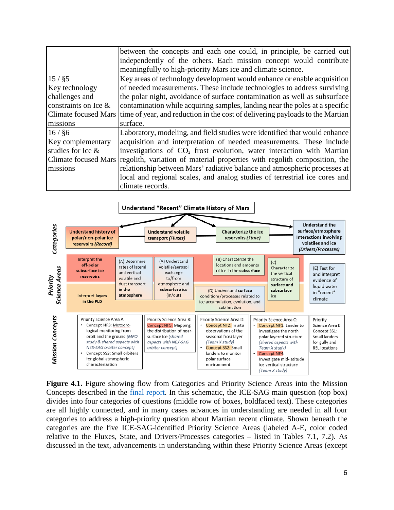|                         | between the concepts and each one could, in principle, be carried out                              |
|-------------------------|----------------------------------------------------------------------------------------------------|
|                         | independently of the others. Each mission concept would contribute                                 |
|                         | meaningfully to high-priority Mars ice and climate science.                                        |
| 15 / §5                 | Key areas of technology development would enhance or enable acquisition                            |
| Key technology          | of needed measurements. These include technologies to address surviving                            |
| challenges and          | the polar night, avoidance of surface contamination as well as subsurface                          |
| constraints on Ice $\&$ | contamination while acquiring samples, landing near the poles at a specific                        |
|                         | Climate focused Mars time of year, and reduction in the cost of delivering payloads to the Martian |
| missions                | surface.                                                                                           |
| 16 / §6                 | Laboratory, modeling, and field studies were identified that would enhance                         |
| Key complementary       | acquisition and interpretation of needed measurements. These include                               |
| studies for Ice $\&$    | investigations of CO <sub>2</sub> frost evolution, water interaction with Martian                  |
|                         | Climate focused Mars regolith, variation of material properties with regolith composition, the     |
| missions                | relationship between Mars' radiative balance and atmospheric processes at                          |
|                         | local and regional scales, and analog studies of terrestrial ice cores and                         |
|                         | climate records.                                                                                   |



**Figure 4.1.** Figure showing flow from Categories and Priority Science Areas into the Mission Concepts described in the final [report.](https://mepag.jpl.nasa.gov/reports/ICESAG_Report_FINAL.pdf) In this schematic, the ICE-SAG main question (top box) divides into four categories of questions (middle row of boxes, boldfaced text). These categories are all highly connected, and in many cases advances in understanding are needed in all four categories to address a high-priority question about Martian recent climate. Shown beneath the categories are the five ICE-SAG-identified Priority Science Areas (labeled A-E, color coded relative to the Fluxes, State, and Drivers/Processes categories – listed in Tables 7.1, 7.2). As discussed in the text, advancements in understanding within these Priority Science Areas (except